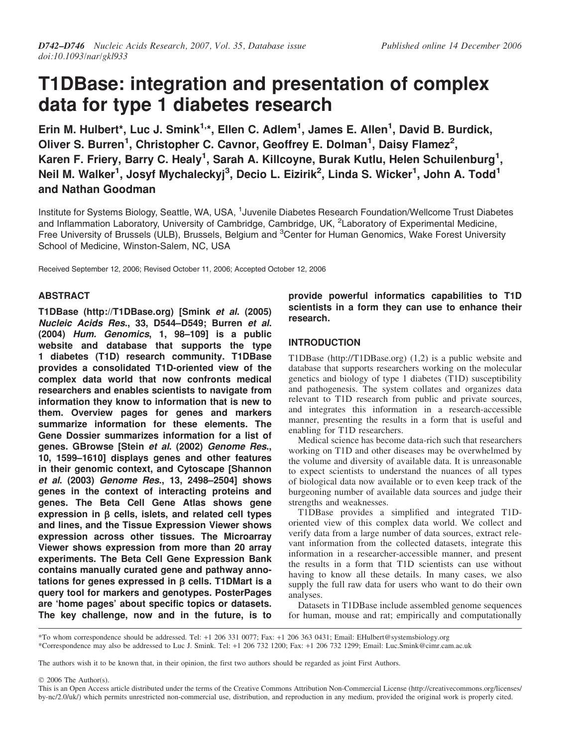# T1DBase: integration and presentation of complex data for type 1 diabetes research

Erin M. Hulbert\*, Luc J. Smink<sup>1,\*</sup>, Ellen C. Adlem<sup>1</sup>, James E. Allen<sup>1</sup>, David B. Burdick, Oliver S. Burren<sup>1</sup>, Christopher C. Cavnor, Geoffrey E. Dolman<sup>1</sup>, Daisy Flamez<sup>2</sup>, Karen F. Friery, Barry C. Healy<sup>1</sup>, Sarah A. Killcoyne, Burak Kutlu, Helen Schuilenburg<sup>1</sup>, Neil M. Walker<sup>1</sup>, Josyf Mychaleckyj<sup>3</sup>, Decio L. Eizirik<sup>2</sup>, Linda S. Wicker<sup>1</sup>, John A. Todd<sup>1</sup> and Nathan Goodman

Institute for Systems Biology, Seattle, WA, USA, <sup>1</sup>Juvenile Diabetes Research Foundation/Wellcome Trust Diabetes and Inflammation Laboratory, University of Cambridge, Cambridge, UK, <sup>2</sup>Laboratory of Experimental Medicine, Free University of Brussels (ULB), Brussels, Belgium and <sup>3</sup>Center for Human Genomics, Wake Forest University School of Medicine, Winston-Salem, NC, USA

Received September 12, 2006; Revised October 11, 2006; Accepted October 12, 2006

## ABSTRACT

T1DBase [\(http://T1DBase.org\)](http://T1DBase.org) [Smink et al. (2005) Nucleic Acids Res., 33, D544–D549; Burren et al. (2004) Hum. Genomics, 1, 98–109] is a public website and database that supports the type 1 diabetes (T1D) research community. T1DBase provides a consolidated T1D-oriented view of the complex data world that now confronts medical researchers and enables scientists to navigate from information they know to information that is new to them. Overview pages for genes and markers summarize information for these elements. The Gene Dossier summarizes information for a list of genes. GBrowse [Stein et al. (2002) Genome Res., 10, 1599–1610] displays genes and other features in their genomic context, and Cytoscape [Shannon et al. (2003) Genome Res., 13, 2498–2504] shows genes in the context of interacting proteins and genes. The Beta Cell Gene Atlas shows gene expression in  $\beta$  cells, islets, and related cell types and lines, and the Tissue Expression Viewer shows expression across other tissues. The Microarray Viewer shows expression from more than 20 array experiments. The Beta Cell Gene Expression Bank contains manually curated gene and pathway annotations for genes expressed in  $\beta$  cells. T1DMart is a query tool for markers and genotypes. PosterPages are 'home pages' about specific topics or datasets. The key challenge, now and in the future, is to

provide powerful informatics capabilities to T1D scientists in a form they can use to enhance their research.

## INTRODUCTION

T1DBase ([http://T1DBase.org\)](http://T1DBase.org) (1,2) is a public website and database that supports researchers working on the molecular genetics and biology of type 1 diabetes (T1D) susceptibility and pathogenesis. The system collates and organizes data relevant to T1D research from public and private sources, and integrates this information in a research-accessible manner, presenting the results in a form that is useful and enabling for T1D researchers.

Medical science has become data-rich such that researchers working on T1D and other diseases may be overwhelmed by the volume and diversity of available data. It is unreasonable to expect scientists to understand the nuances of all types of biological data now available or to even keep track of the burgeoning number of available data sources and judge their strengths and weaknesses.

T1DBase provides a simplified and integrated T1Doriented view of this complex data world. We collect and verify data from a large number of data sources, extract relevant information from the collected datasets, integrate this information in a researcher-accessible manner, and present the results in a form that T1D scientists can use without having to know all these details. In many cases, we also supply the full raw data for users who want to do their own analyses.

Datasets in T1DBase include assembled genome sequences for human, mouse and rat; empirically and computationally

\*To whom correspondence should be addressed. Tel: +1 206 331 0077; Fax: +1 206 363 0431; Email: EHulbert@systemsbiology.org \*Correspondence may also be addressed to Luc J. Smink. Tel: +1 206 732 1200; Fax: +1 206 732 1299; Email: Luc.Smink@cimr.cam.ac.uk

The authors wish it to be known that, in their opinion, the first two authors should be regarded as joint First Authors.

2006 The Author(s).

This is an Open Access article distributed under the terms of the Creative Commons Attribution Non-Commercial License [\(http://creativecommons.org/licenses/](http://creativecommons.org/licenses/) by-nc/2.0/uk/) which permits unrestricted non-commercial use, distribution, and reproduction in any medium, provided the original work is properly cited.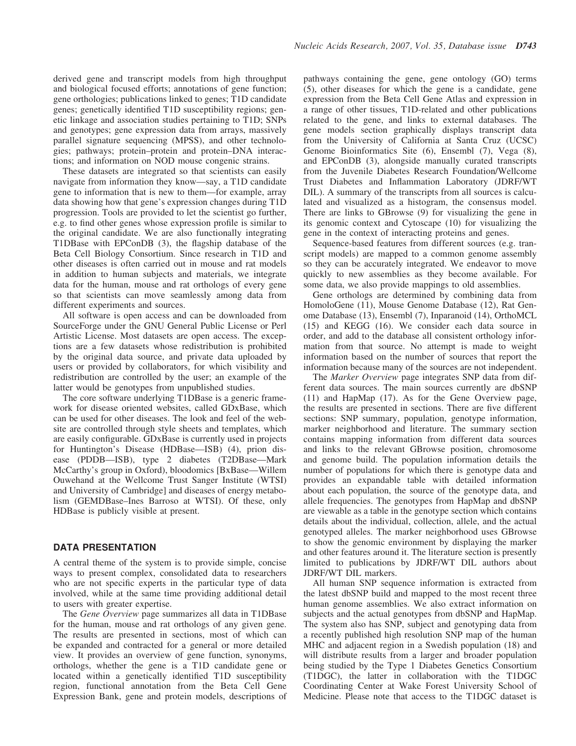derived gene and transcript models from high throughput and biological focused efforts; annotations of gene function; gene orthologies; publications linked to genes; T1D candidate genes; genetically identified T1D susceptibility regions; genetic linkage and association studies pertaining to T1D; SNPs and genotypes; gene expression data from arrays, massively parallel signature sequencing (MPSS), and other technologies; pathways; protein–protein and protein–DNA interactions; and information on NOD mouse congenic strains.

These datasets are integrated so that scientists can easily navigate from information they know—say, a T1D candidate gene to information that is new to them—for example, array data showing how that gene's expression changes during T1D progression. Tools are provided to let the scientist go further, e.g. to find other genes whose expression profile is similar to the original candidate. We are also functionally integrating T1DBase with EPConDB (3), the flagship database of the Beta Cell Biology Consortium. Since research in T1D and other diseases is often carried out in mouse and rat models in addition to human subjects and materials, we integrate data for the human, mouse and rat orthologs of every gene so that scientists can move seamlessly among data from different experiments and sources.

All software is open access and can be downloaded from SourceForge under the GNU General Public License or Perl Artistic License. Most datasets are open access. The exceptions are a few datasets whose redistribution is prohibited by the original data source, and private data uploaded by users or provided by collaborators, for which visibility and redistribution are controlled by the user; an example of the latter would be genotypes from unpublished studies.

The core software underlying T1DBase is a generic framework for disease oriented websites, called GDxBase, which can be used for other diseases. The look and feel of the website are controlled through style sheets and templates, which are easily configurable. GDxBase is currently used in projects for Huntington's Disease (HDBase—ISB) (4), prion disease (PDDB—ISB), type 2 diabetes (T2DBase—Mark McCarthy's group in Oxford), bloodomics [BxBase—Willem Ouwehand at the Wellcome Trust Sanger Institute (WTSI) and University of Cambridge] and diseases of energy metabolism (GEMDBase–Ines Barroso at WTSI). Of these, only HDBase is publicly visible at present.

#### DATA PRESENTATION

A central theme of the system is to provide simple, concise ways to present complex, consolidated data to researchers who are not specific experts in the particular type of data involved, while at the same time providing additional detail to users with greater expertise.

The Gene Overview page summarizes all data in T1DBase for the human, mouse and rat orthologs of any given gene. The results are presented in sections, most of which can be expanded and contracted for a general or more detailed view. It provides an overview of gene function, synonyms, orthologs, whether the gene is a T1D candidate gene or located within a genetically identified T1D susceptibility region, functional annotation from the Beta Cell Gene Expression Bank, gene and protein models, descriptions of pathways containing the gene, gene ontology (GO) terms (5), other diseases for which the gene is a candidate, gene expression from the Beta Cell Gene Atlas and expression in a range of other tissues, T1D-related and other publications related to the gene, and links to external databases. The gene models section graphically displays transcript data from the University of California at Santa Cruz (UCSC) Genome Bioinformatics Site (6), Ensembl (7), Vega (8), and EPConDB (3), alongside manually curated transcripts from the Juvenile Diabetes Research Foundation/Wellcome Trust Diabetes and Inflammation Laboratory (JDRF/WT DIL). A summary of the transcripts from all sources is calculated and visualized as a histogram, the consensus model. There are links to GBrowse (9) for visualizing the gene in its genomic context and Cytoscape (10) for visualizing the gene in the context of interacting proteins and genes.

Sequence-based features from different sources (e.g. transcript models) are mapped to a common genome assembly so they can be accurately integrated. We endeavor to move quickly to new assemblies as they become available. For some data, we also provide mappings to old assemblies.

Gene orthologs are determined by combining data from HomoloGene (11), Mouse Genome Database (12), Rat Genome Database (13), Ensembl (7), Inparanoid (14), OrthoMCL (15) and KEGG (16). We consider each data source in order, and add to the database all consistent orthology information from that source. No attempt is made to weight information based on the number of sources that report the information because many of the sources are not independent.

The Marker Overview page integrates SNP data from different data sources. The main sources currently are dbSNP (11) and HapMap (17). As for the Gene Overview page, the results are presented in sections. There are five different sections: SNP summary, population, genotype information, marker neighborhood and literature. The summary section contains mapping information from different data sources and links to the relevant GBrowse position, chromosome and genome build. The population information details the number of populations for which there is genotype data and provides an expandable table with detailed information about each population, the source of the genotype data, and allele frequencies. The genotypes from HapMap and dbSNP are viewable as a table in the genotype section which contains details about the individual, collection, allele, and the actual genotyped alleles. The marker neighborhood uses GBrowse to show the genomic environment by displaying the marker and other features around it. The literature section is presently limited to publications by JDRF/WT DIL authors about JDRF/WT DIL markers.

All human SNP sequence information is extracted from the latest dbSNP build and mapped to the most recent three human genome assemblies. We also extract information on subjects and the actual genotypes from dbSNP and HapMap. The system also has SNP, subject and genotyping data from a recently published high resolution SNP map of the human MHC and adjacent region in a Swedish population (18) and will distribute results from a larger and broader population being studied by the Type 1 Diabetes Genetics Consortium (T1DGC), the latter in collaboration with the T1DGC Coordinating Center at Wake Forest University School of Medicine. Please note that access to the T1DGC dataset is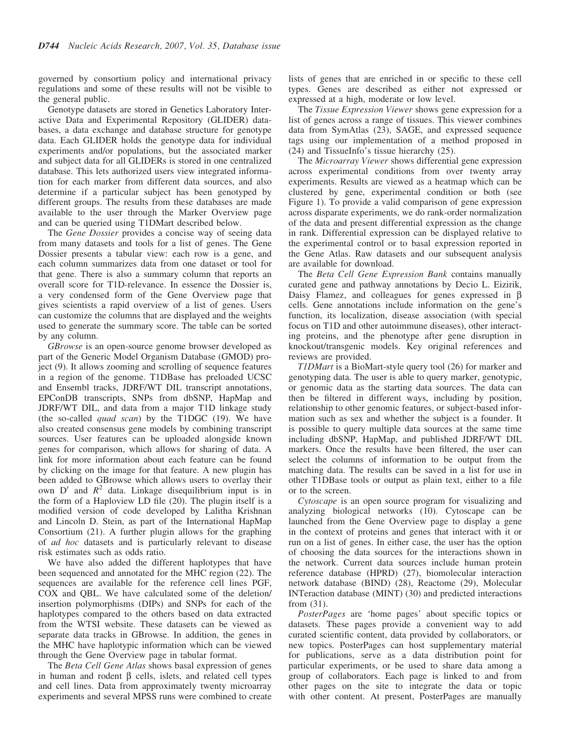governed by consortium policy and international privacy regulations and some of these results will not be visible to the general public.

Genotype datasets are stored in Genetics Laboratory Interactive Data and Experimental Repository (GLIDER) databases, a data exchange and database structure for genotype data. Each GLIDER holds the genotype data for individual experiments and/or populations, but the associated marker and subject data for all GLIDERs is stored in one centralized database. This lets authorized users view integrated information for each marker from different data sources, and also determine if a particular subject has been genotyped by different groups. The results from these databases are made available to the user through the Marker Overview page and can be queried using T1DMart described below.

The Gene Dossier provides a concise way of seeing data from many datasets and tools for a list of genes. The Gene Dossier presents a tabular view: each row is a gene, and each column summarizes data from one dataset or tool for that gene. There is also a summary column that reports an overall score for T1D-relevance. In essence the Dossier is, a very condensed form of the Gene Overview page that gives scientists a rapid overview of a list of genes. Users can customize the columns that are displayed and the weights used to generate the summary score. The table can be sorted by any column.

GBrowse is an open-source genome browser developed as part of the Generic Model Organism Database (GMOD) project (9). It allows zooming and scrolling of sequence features in a region of the genome. T1DBase has preloaded UCSC and Ensembl tracks, JDRF/WT DIL transcript annotations, EPConDB transcripts, SNPs from dbSNP, HapMap and JDRF/WT DIL, and data from a major T1D linkage study (the so-called *quad scan*) by the T1DGC  $(19)$ . We have also created consensus gene models by combining transcript sources. User features can be uploaded alongside known genes for comparison, which allows for sharing of data. A link for more information about each feature can be found by clicking on the image for that feature. A new plugin has been added to GBrowse which allows users to overlay their own  $D'$  and  $R^2$  data. Linkage disequilibrium input is in the form of a Haploview LD file (20). The plugin itself is a modified version of code developed by Lalitha Krishnan and Lincoln D. Stein, as part of the International HapMap Consortium (21). A further plugin allows for the graphing of ad hoc datasets and is particularly relevant to disease risk estimates such as odds ratio.

We have also added the different haplotypes that have been sequenced and annotated for the MHC region (22). The sequences are available for the reference cell lines PGF, COX and QBL. We have calculated some of the deletion/ insertion polymorphisms (DIPs) and SNPs for each of the haplotypes compared to the others based on data extracted from the WTSI website. These datasets can be viewed as separate data tracks in GBrowse. In addition, the genes in the MHC have haplotypic information which can be viewed through the Gene Overview page in tabular format.

The Beta Cell Gene Atlas shows basal expression of genes in human and rodent  $\beta$  cells, islets, and related cell types and cell lines. Data from approximately twenty microarray experiments and several MPSS runs were combined to create lists of genes that are enriched in or specific to these cell types. Genes are described as either not expressed or expressed at a high, moderate or low level.

The Tissue Expression Viewer shows gene expression for a list of genes across a range of tissues. This viewer combines data from SymAtlas (23), SAGE, and expressed sequence tags using our implementation of a method proposed in (24) and TissueInfo's tissue hierarchy (25).

The Microarray Viewer shows differential gene expression across experimental conditions from over twenty array experiments. Results are viewed as a heatmap which can be clustered by gene, experimental condition or both (see Figure 1). To provide a valid comparison of gene expression across disparate experiments, we do rank-order normalization of the data and present differential expression as the change in rank. Differential expression can be displayed relative to the experimental control or to basal expression reported in the Gene Atlas. Raw datasets and our subsequent analysis are available for download.

The Beta Cell Gene Expression Bank contains manually curated gene and pathway annotations by Decio L. Eizirik, Daisy Flamez, and colleagues for genes expressed in  $\beta$ cells. Gene annotations include information on the gene's function, its localization, disease association (with special focus on T1D and other autoimmune diseases), other interacting proteins, and the phenotype after gene disruption in knockout/transgenic models. Key original references and reviews are provided.

T1DMart is a BioMart-style query tool (26) for marker and genotyping data. The user is able to query marker, genotypic, or genomic data as the starting data sources. The data can then be filtered in different ways, including by position, relationship to other genomic features, or subject-based information such as sex and whether the subject is a founder. It is possible to query multiple data sources at the same time including dbSNP, HapMap, and published JDRF/WT DIL markers. Once the results have been filtered, the user can select the columns of information to be output from the matching data. The results can be saved in a list for use in other T1DBase tools or output as plain text, either to a file or to the screen.

Cytoscape is an open source program for visualizing and analyzing biological networks (10). Cytoscape can be launched from the Gene Overview page to display a gene in the context of proteins and genes that interact with it or run on a list of genes. In either case, the user has the option of choosing the data sources for the interactions shown in the network. Current data sources include human protein reference database (HPRD) (27), biomolecular interaction network database (BIND) (28), Reactome (29), Molecular INTeraction database (MINT) (30) and predicted interactions from (31).

PosterPages are 'home pages' about specific topics or datasets. These pages provide a convenient way to add curated scientific content, data provided by collaborators, or new topics. PosterPages can host supplementary material for publications, serve as a data distribution point for particular experiments, or be used to share data among a group of collaborators. Each page is linked to and from other pages on the site to integrate the data or topic with other content. At present, PosterPages are manually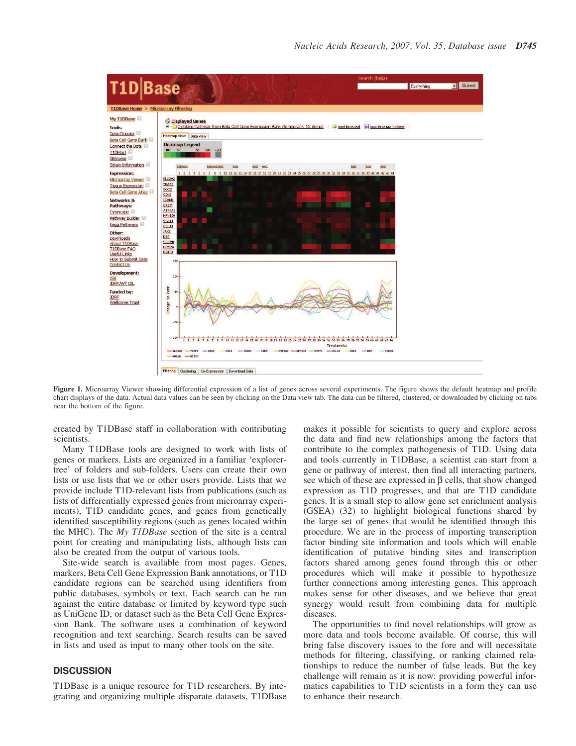

Figure 1. Microarray Viewer showing differential expression of a list of genes across several experiments. The figure shows the default heatmap and profile chart displays of the data. Actual data values can be seen by clicking on the Data view tab. The data can be filtered, clustered, or downloaded by clicking on tabs near the bottom of the figure.

created by T1DBase staff in collaboration with contributing scientists.

Many T1DBase tools are designed to work with lists of genes or markers. Lists are organized in a familiar 'explorertree' of folders and sub-folders. Users can create their own lists or use lists that we or other users provide. Lists that we provide include T1D-relevant lists from publications (such as lists of differentially expressed genes from microarray experiments), T1D candidate genes, and genes from genetically identified susceptibility regions (such as genes located within the MHC). The My T1DBase section of the site is a central point for creating and manipulating lists, although lists can also be created from the output of various tools.

Site-wide search is available from most pages. Genes, markers, Beta Cell Gene Expression Bank annotations, or T1D candidate regions can be searched using identifiers from public databases, symbols or text. Each search can be run against the entire database or limited by keyword type such as UniGene ID, or dataset such as the Beta Cell Gene Expression Bank. The software uses a combination of keyword recognition and text searching. Search results can be saved in lists and used as input to many other tools on the site.

## **DISCUSSION**

T1DBase is a unique resource for T1D researchers. By integrating and organizing multiple disparate datasets, T1DBase makes it possible for scientists to query and explore across the data and find new relationships among the factors that contribute to the complex pathogenesis of T1D. Using data and tools currently in T1DBase, a scientist can start from a gene or pathway of interest, then find all interacting partners, see which of these are expressed in  $\beta$  cells, that show changed expression as T1D progresses, and that are T1D candidate genes. It is a small step to allow gene set enrichment analysis (GSEA) (32) to highlight biological functions shared by the large set of genes that would be identified through this procedure. We are in the process of importing transcription factor binding site information and tools which will enable identification of putative binding sites and transcription factors shared among genes found through this or other procedures which will make it possible to hypothesize further connections among interesting genes. This approach makes sense for other diseases, and we believe that great synergy would result from combining data for multiple diseases.

The opportunities to find novel relationships will grow as more data and tools become available. Of course, this will bring false discovery issues to the fore and will necessitate methods for filtering, classifying, or ranking claimed relationships to reduce the number of false leads. But the key challenge will remain as it is now: providing powerful informatics capabilities to T1D scientists in a form they can use to enhance their research.